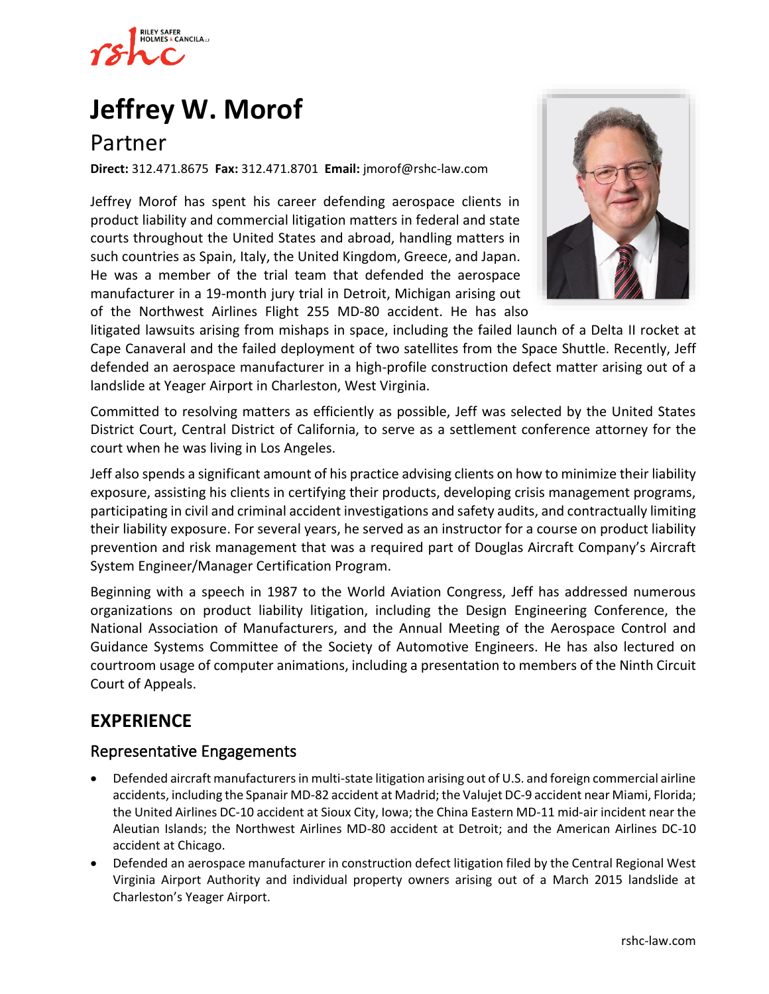

# **[Jeffrey W. Morof](https://www.rshc-law.com/attorneys/attorney/jeffrey-w.-morof)**

## Partner

**Direct:** 312.471.8675 **Fax:** 312.471.8701 **Email:** jmorof@rshc-law.com

Jeffrey Morof has spent his career defending aerospace clients in product liability and commercial litigation matters in federal and state courts throughout the United States and abroad, handling matters in such countries as Spain, Italy, the United Kingdom, Greece, and Japan. He was a member of the trial team that defended the aerospace manufacturer in a 19-month jury trial in Detroit, Michigan arising out of the Northwest Airlines Flight 255 MD-80 accident. He has also



litigated lawsuits arising from mishaps in space, including the failed launch of a Delta II rocket at Cape Canaveral and the failed deployment of two satellites from the Space Shuttle. Recently, Jeff defended an aerospace manufacturer in a high-profile construction defect matter arising out of a landslide at Yeager Airport in Charleston, West Virginia.

Committed to resolving matters as efficiently as possible, Jeff was selected by the United States District Court, Central District of California, to serve as a settlement conference attorney for the court when he was living in Los Angeles.

Jeff also spends a significant amount of his practice advising clients on how to minimize their liability exposure, assisting his clients in certifying their products, developing crisis management programs, participating in civil and criminal accident investigations and safety audits, and contractually limiting their liability exposure. For several years, he served as an instructor for a course on product liability prevention and risk management that was a required part of Douglas Aircraft Company's Aircraft System Engineer/Manager Certification Program.

Beginning with a speech in 1987 to the World Aviation Congress, Jeff has addressed numerous organizations on product liability litigation, including the Design Engineering Conference, the National Association of Manufacturers, and the Annual Meeting of the Aerospace Control and Guidance Systems Committee of the Society of Automotive Engineers. He has also lectured on courtroom usage of computer animations, including a presentation to members of the Ninth Circuit Court of Appeals.

## **EXPERIENCE**

#### Representative Engagements

- Defended aircraft manufacturers in multi-state litigation arising out of U.S. and foreign commercial airline accidents, including the Spanair MD-82 accident at Madrid; the Valujet DC-9 accident near Miami, Florida; the United Airlines DC-10 accident at Sioux City, Iowa; the China Eastern MD-11 mid-air incident near the Aleutian Islands; the Northwest Airlines MD-80 accident at Detroit; and the American Airlines DC-10 accident at Chicago.
- Defended an aerospace manufacturer in construction defect litigation filed by the Central Regional West Virginia Airport Authority and individual property owners arising out of a March 2015 landslide at Charleston's Yeager Airport.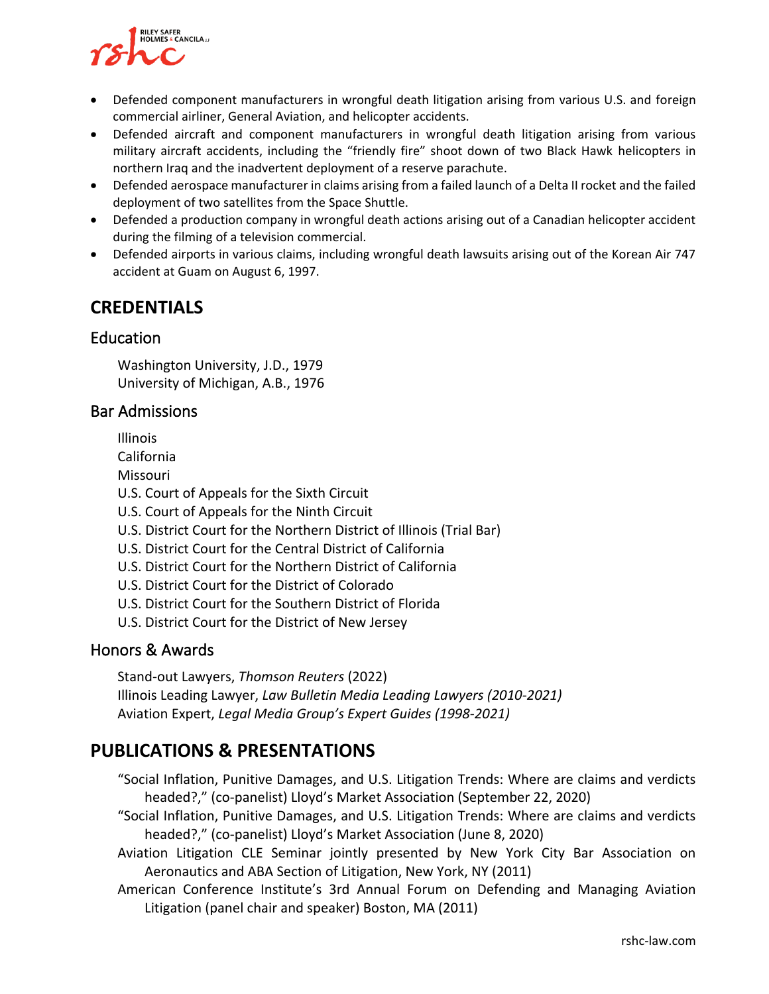

- Defended component manufacturers in wrongful death litigation arising from various U.S. and foreign commercial airliner, General Aviation, and helicopter accidents.
- Defended aircraft and component manufacturers in wrongful death litigation arising from various military aircraft accidents, including the "friendly fire" shoot down of two Black Hawk helicopters in northern Iraq and the inadvertent deployment of a reserve parachute.
- Defended aerospace manufacturer in claims arising from a failed launch of a Delta II rocket and the failed deployment of two satellites from the Space Shuttle.
- Defended a production company in wrongful death actions arising out of a Canadian helicopter accident during the filming of a television commercial.
- Defended airports in various claims, including wrongful death lawsuits arising out of the Korean Air 747 accident at Guam on August 6, 1997.

## **CREDENTIALS**

### Education

Washington University, J.D., 1979 University of Michigan, A.B., 1976

#### Bar Admissions

Illinois

California

Missouri

U.S. Court of Appeals for the Sixth Circuit

- U.S. Court of Appeals for the Ninth Circuit
- U.S. District Court for the Northern District of Illinois (Trial Bar)
- U.S. District Court for the Central District of California
- U.S. District Court for the Northern District of California
- U.S. District Court for the District of Colorado
- U.S. District Court for the Southern District of Florida
- U.S. District Court for the District of New Jersey

### Honors & Awards

Stand-out Lawyers, *Thomson Reuters* (2022) Illinois Leading Lawyer, *Law Bulletin Media Leading Lawyers (2010-2021)* Aviation Expert, *Legal Media Group's Expert Guides (1998-2021)*

## **PUBLICATIONS & PRESENTATIONS**

"Social Inflation, Punitive Damages, and U.S. Litigation Trends: Where are claims and verdicts headed?," (co-panelist) Lloyd's Market Association (September 22, 2020)

"Social Inflation, Punitive Damages, and U.S. Litigation Trends: Where are claims and verdicts headed?," (co-panelist) Lloyd's Market Association (June 8, 2020)

- Aviation Litigation CLE Seminar jointly presented by New York City Bar Association on Aeronautics and ABA Section of Litigation, New York, NY (2011)
- American Conference Institute's 3rd Annual Forum on Defending and Managing Aviation Litigation (panel chair and speaker) Boston, MA (2011)